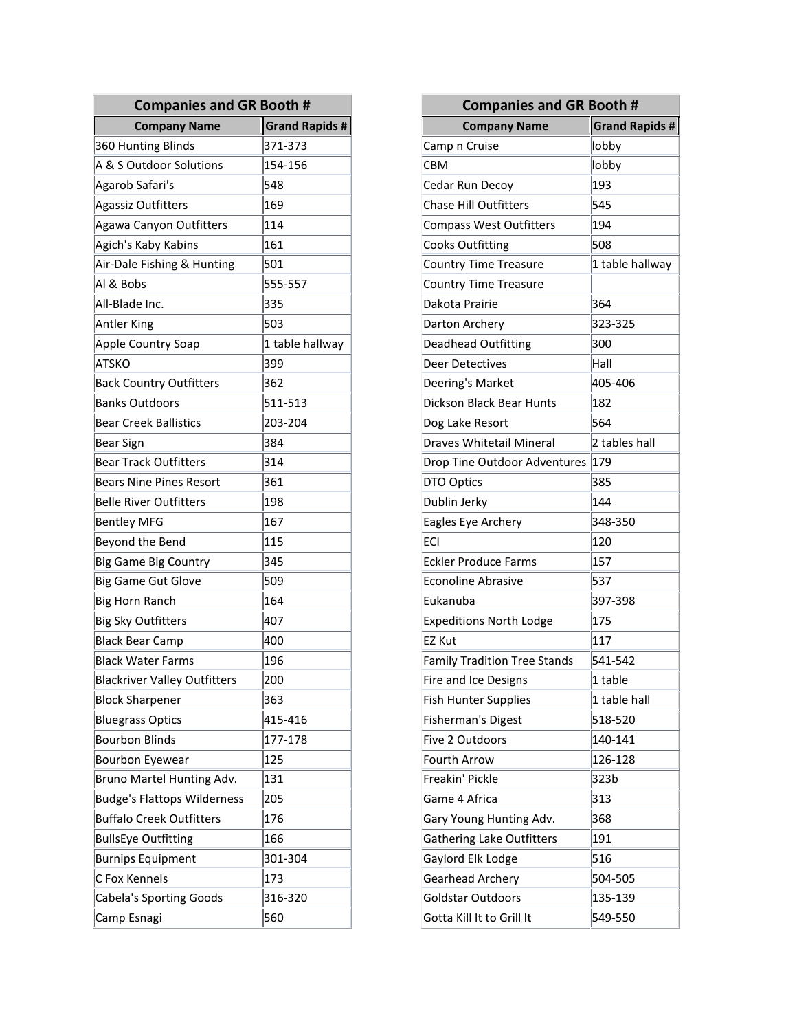| <b>Companies and GR Booth #</b>     |                       |
|-------------------------------------|-----------------------|
| <b>Company Name</b>                 | <b>Grand Rapids #</b> |
| 360 Hunting Blinds                  | 371-373               |
| A & S Outdoor Solutions             | 154-156               |
| Agarob Safari's                     | 548                   |
| Agassiz Outfitters                  | 169                   |
| Agawa Canyon Outfitters             | 114                   |
| Agich's Kaby Kabins                 | 161                   |
| Air-Dale Fishing & Hunting          | 501                   |
| Al & Bobs                           | 555-557               |
| All-Blade Inc.                      | 335                   |
| <b>Antler King</b>                  | 503                   |
| Apple Country Soap                  | 1 table hallway       |
| ATSKO                               | 399                   |
| <b>Back Country Outfitters</b>      | 362                   |
| <b>Banks Outdoors</b>               | 511-513               |
| <b>Bear Creek Ballistics</b>        | 203-204               |
| <b>Bear Sign</b>                    | 384                   |
| <b>Bear Track Outfitters</b>        | 314                   |
| <b>Bears Nine Pines Resort</b>      | 361                   |
| <b>Belle River Outfitters</b>       | 198                   |
| <b>Bentley MFG</b>                  | 167                   |
| Beyond the Bend                     | 115                   |
| <b>Big Game Big Country</b>         | 345                   |
| <b>Big Game Gut Glove</b>           | 509                   |
| <b>Big Horn Ranch</b>               | 164                   |
| <b>Big Sky Outfitters</b>           | 407                   |
| <b>Black Bear Camp</b>              | 400                   |
| <b>Black Water Farms</b>            | 196                   |
| <b>Blackriver Valley Outfitters</b> | 200                   |
| <b>Block Sharpener</b>              | 363                   |
| <b>Bluegrass Optics</b>             | 415-416               |
| <b>Bourbon Blinds</b>               | 177-178               |
| <b>Bourbon Eyewear</b>              | 125                   |
| Bruno Martel Hunting Adv.           | 131                   |
| <b>Budge's Flattops Wilderness</b>  | 205                   |
| <b>Buffalo Creek Outfitters</b>     | 176                   |
| <b>BullsEye Outfitting</b>          | 166                   |
| <b>Burnips Equipment</b>            | 301-304               |
| C Fox Kennels                       | 173                   |
| <b>Cabela's Sporting Goods</b>      | 316-320               |
| Camp Esnagi                         | 560                   |

| <b>Companies and GR Booth #</b>     |                 |
|-------------------------------------|-----------------|
| <b>Company Name</b>                 | Grand Rapids #  |
| Camp n Cruise                       | lobby           |
| СВМ                                 | lobby           |
| Cedar Run Decoy                     | 193             |
| <b>Chase Hill Outfitters</b>        | 545             |
| <b>Compass West Outfitters</b>      | 194             |
| <b>Cooks Outfitting</b>             | 508             |
| <b>Country Time Treasure</b>        | 1 table hallway |
| <b>Country Time Treasure</b>        |                 |
| Dakota Prairie                      | 364             |
| Darton Archery                      | 323-325         |
| Deadhead Outfitting                 | 300             |
| Deer Detectives                     | Hall            |
| Deering's Market                    | 405-406         |
| <b>Dickson Black Bear Hunts</b>     | 182             |
| Dog Lake Resort                     | 564             |
| <b>Draves Whitetail Mineral</b>     | 2 tables hall   |
| Drop Tine Outdoor Adventures        | 179             |
| DTO Optics                          | 385             |
| Dublin Jerky                        | 144             |
| Eagles Eye Archery                  | 348-350         |
| ECI                                 | 120             |
| <b>Eckler Produce Farms</b>         | 157             |
| <b>Econoline Abrasive</b>           | 537             |
| Eukanuba                            | 397-398         |
| <b>Expeditions North Lodge</b>      | 175             |
| EZ Kut                              | 117             |
| <b>Family Tradition Tree Stands</b> | 541-542         |
| Fire and Ice Designs                | 1 table         |
| <b>Fish Hunter Supplies</b>         | 1 table hall    |
| Fisherman's Digest                  | 518-520         |
| Five 2 Outdoors                     | 140-141         |
| <b>Fourth Arrow</b>                 | 126-128         |
| Freakin' Pickle                     | 323b            |
| Game 4 Africa                       | 313             |
| Gary Young Hunting Adv.             | 368             |
| <b>Gathering Lake Outfitters</b>    | 191             |
| Gaylord Elk Lodge                   | 516             |
| Gearhead Archery                    | 504-505         |
| Goldstar Outdoors                   | 135-139         |
| Gotta Kill It to Grill It           | 549-550         |
|                                     |                 |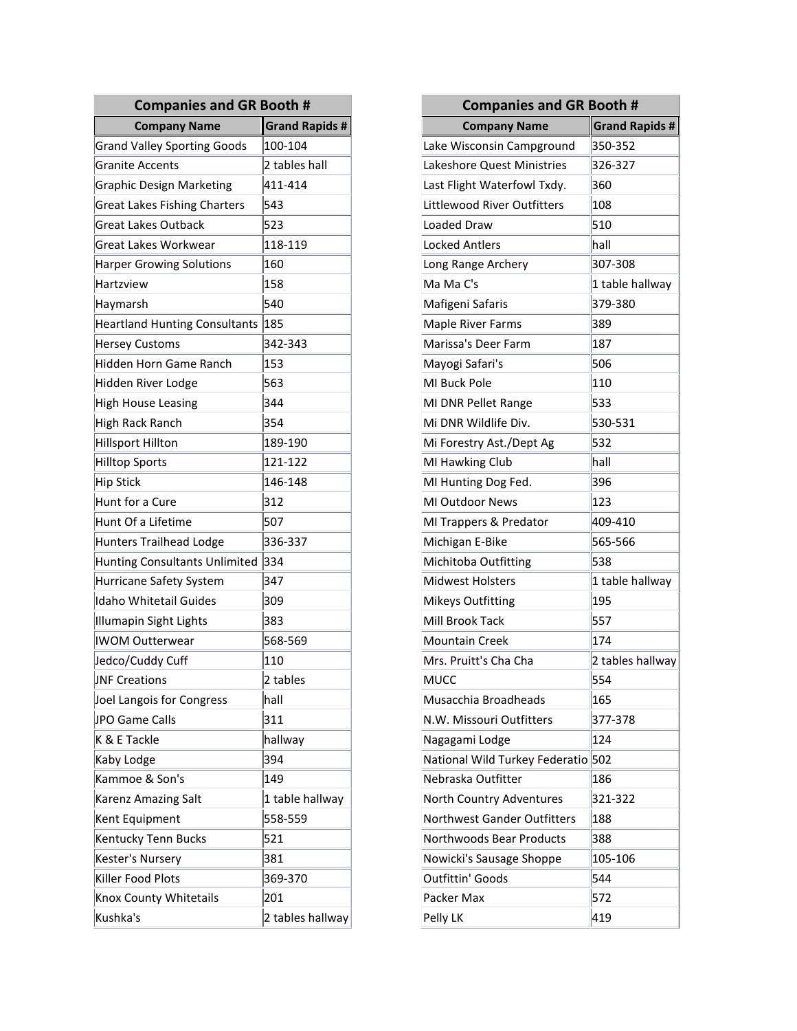| <b>Companies and GR Booth #</b>      |                       |
|--------------------------------------|-----------------------|
| <b>Company Name</b>                  | <b>Grand Rapids #</b> |
| <b>Grand Valley Sporting Goods</b>   | 100-104               |
| <b>Granite Accents</b>               | 2 tables hall         |
| <b>Graphic Design Marketing</b>      | 411-414               |
| <b>Great Lakes Fishing Charters</b>  | 543                   |
| <b>Great Lakes Outback</b>           | 523                   |
| Great Lakes Workwear                 | 118-119               |
| <b>Harper Growing Solutions</b>      | 160                   |
| Hartzview                            | 158                   |
| Haymarsh                             | 540                   |
| <b>Heartland Hunting Consultants</b> | 185                   |
| <b>Hersey Customs</b>                | 342-343               |
| Hidden Horn Game Ranch               | 153                   |
| Hidden River Lodge                   | 563                   |
| <b>High House Leasing</b>            | 344                   |
| High Rack Ranch                      | 354                   |
| <b>Hillsport Hillton</b>             | 189-190               |
| <b>Hilltop Sports</b>                | 121-122               |
| <b>Hip Stick</b>                     | 146-148               |
| Hunt for a Cure                      | 312                   |
| Hunt Of a Lifetime                   | 507                   |
| <b>Hunters Trailhead Lodge</b>       | 336-337               |
| <b>Hunting Consultants Unlimited</b> | 334                   |
| Hurricane Safety System              | 347                   |
| Idaho Whitetail Guides               | 309                   |
| Illumapin Sight Lights               | 383                   |
| <b>IWOM Outterwear</b>               | 568-569               |
| Jedco/Cuddy Cuff                     | 110                   |
| <b>JNF Creations</b>                 | 2 tables              |
| Joel Langois for Congress            | hall                  |
| JPO Game Calls                       | 311                   |
| K & E Tackle                         | hallway               |
| Kaby Lodge                           | 394                   |
| Kammoe & Son's                       | 149                   |
| Karenz Amazing Salt                  | 1 table hallway       |
| Kent Equipment                       | 558-559               |
| Kentucky Tenn Bucks                  | 521                   |
| Kester's Nursery                     | 381                   |
| Killer Food Plots                    | 369-370               |
| Knox County Whitetails               | 201                   |
| Kushka's                             | 2 tables hallway      |

| <b>Companies and GR Booth #</b> |                       |
|---------------------------------|-----------------------|
| <b>Company Name</b>             | <b>Grand Rapids #</b> |
| Lake Wisconsin Campground       | 350-352               |
| Lakeshore Quest Ministries      | 326-327               |
| Last Flight Waterfowl Txdy.     | 360                   |
| Littlewood River Outfitters     | 108                   |
| <b>Loaded Draw</b>              | 510                   |
| Locked Antlers                  | hall                  |
| Long Range Archery              | 307-308               |
| Ma Ma C's                       | 1 table hallway       |
| Mafigeni Safaris                | 379-380               |
| Maple River Farms               | 389                   |
| Marissa's Deer Farm             | 187                   |
| Mayogi Safari's                 | 506                   |
| MI Buck Pole                    | 110                   |
| MI DNR Pellet Range             | 533                   |
| Mi DNR Wildlife Div.            | 530-531               |
| Mi Forestry Ast./Dept Ag        | 532                   |
| MI Hawking Club                 | hall                  |
| MI Hunting Dog Fed.             | 396                   |
| <b>MI Outdoor News</b>          | 123                   |
| MI Trappers & Predator          | 409-410               |
| Michigan E-Bike                 | 565-566               |
| Michitoba Outfitting            | 538                   |
| <b>Midwest Holsters</b>         | 1 table hallway       |
| Mikeys Outfitting               | 195                   |
| Mill Brook Tack                 | 557                   |
| <b>Mountain Creek</b>           | 174                   |
| Mrs. Pruitt's Cha Cha           | 2 tables hallway      |
| <b>MUCC</b>                     | 554                   |
| Musacchia Broadheads            | 165                   |
| N.W. Missouri Outfitters        | 377-378               |
| Nagagami Lodge                  | 124                   |
| National Wild Turkey Federatio  | 502                   |
| Nebraska Outfitter              | 186                   |
| North Country Adventures        | 321-322               |
| Northwest Gander Outfitters     | 188                   |
| Northwoods Bear Products        | 388                   |
| Nowicki's Sausage Shoppe        | 105-106               |
| Outfittin' Goods                | 544                   |
| Packer Max                      | 572                   |
| Pelly LK                        | 419                   |
|                                 |                       |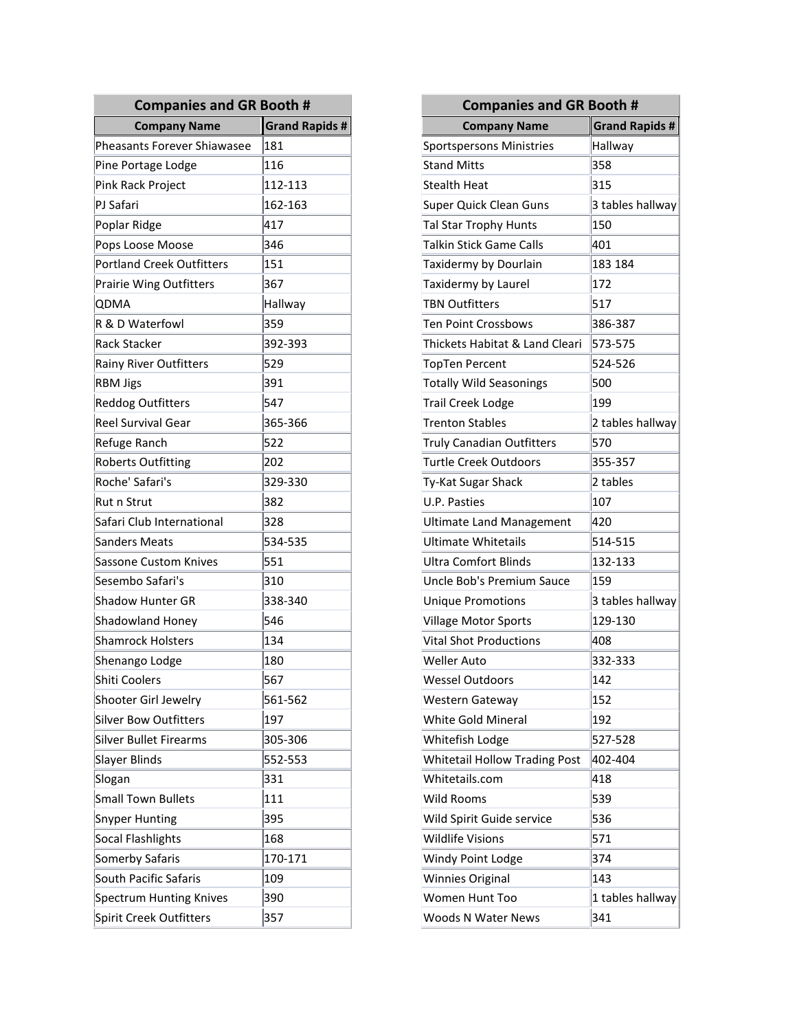| <b>Companies and GR Booth #</b>    |                       |
|------------------------------------|-----------------------|
| <b>Company Name</b>                | <b>Grand Rapids #</b> |
| <b>Pheasants Forever Shiawasee</b> | 181                   |
| Pine Portage Lodge                 | 116                   |
| Pink Rack Project                  | 112-113               |
| PJ Safari                          | 162-163               |
| Poplar Ridge                       | 417                   |
| Pops Loose Moose                   | 346                   |
| <b>Portland Creek Outfitters</b>   | 151                   |
| <b>Prairie Wing Outfitters</b>     | 367                   |
| QDMA                               | Hallway               |
| R & D Waterfowl                    | 359                   |
| <b>Rack Stacker</b>                | 392-393               |
| <b>Rainy River Outfitters</b>      | 529                   |
| <b>RBM Jigs</b>                    | 391                   |
| <b>Reddog Outfitters</b>           | 547                   |
| <b>Reel Survival Gear</b>          | 365-366               |
| Refuge Ranch                       | 522                   |
| <b>Roberts Outfitting</b>          | 202                   |
| Roche' Safari's                    | 329-330               |
| Rut n Strut                        | 382                   |
| Safari Club International          | 328                   |
| <b>Sanders Meats</b>               | 534-535               |
| Sassone Custom Knives              | 551                   |
| Sesembo Safari's                   | 310                   |
| Shadow Hunter GR                   | 338-340               |
| <b>Shadowland Honey</b>            | 546                   |
| <b>Shamrock Holsters</b>           | 134                   |
| Shenango Lodge                     | 180                   |
| Shiti Coolers                      | 567                   |
| Shooter Girl Jewelry               | 561-562               |
| <b>Silver Bow Outfitters</b>       | 197                   |
| <b>Silver Bullet Firearms</b>      | 305-306               |
| Slayer Blinds                      | 552-553               |
| Slogan                             | 331                   |
| <b>Small Town Bullets</b>          | 111                   |
| <b>Snyper Hunting</b>              | 395                   |
| Socal Flashlights                  | 168                   |
| Somerby Safaris                    | 170-171               |
| South Pacific Safaris              | 109                   |
| <b>Spectrum Hunting Knives</b>     | 390                   |
| Spirit Creek Outfitters            | 357                   |

| <b>Companies and GR Booth #</b>      |                       |
|--------------------------------------|-----------------------|
| <b>Company Name</b>                  | <b>Grand Rapids #</b> |
| Sportspersons Ministries             | Hallway               |
| <b>Stand Mitts</b>                   | 358                   |
| <b>Stealth Heat</b>                  | 315                   |
| Super Quick Clean Guns               | 3 tables hallway      |
| Tal Star Trophy Hunts                | 150                   |
| Talkin Stick Game Calls              | 401                   |
| Taxidermy by Dourlain                | 183 184               |
| Taxidermy by Laurel                  | 172                   |
| <b>TBN Outfitters</b>                | 517                   |
| <b>Ten Point Crossbows</b>           | 386-387               |
| Thickets Habitat & Land Cleari       | 573-575               |
| TopTen Percent                       | 524-526               |
| <b>Totally Wild Seasonings</b>       | 500                   |
| <b>Trail Creek Lodge</b>             | 199                   |
| <b>Trenton Stables</b>               | 2 tables hallway      |
| <b>Truly Canadian Outfitters</b>     | 570                   |
| <b>Turtle Creek Outdoors</b>         | 355-357               |
| Ty-Kat Sugar Shack                   | 2 tables              |
| U.P. Pasties                         | 107                   |
| <b>Ultimate Land Management</b>      | 420                   |
| <b>Ultimate Whitetails</b>           | 514-515               |
| <b>Ultra Comfort Blinds</b>          | 132-133               |
| Uncle Bob's Premium Sauce            | 159                   |
| <b>Unique Promotions</b>             | 3 tables hallway      |
| <b>Village Motor Sports</b>          | 129-130               |
| <b>Vital Shot Productions</b>        | 408                   |
| <b>Weller Auto</b>                   | 332-333               |
| Wessel Outdoors                      | 142                   |
| Western Gateway                      | 152                   |
| White Gold Mineral                   | 192                   |
| Whitefish Lodge                      | 527-528               |
| <b>Whitetail Hollow Trading Post</b> | 402-404               |
| Whitetails.com                       | 418                   |
| Wild Rooms                           | 539                   |
| Wild Spirit Guide service            | 536                   |
| <b>Wildlife Visions</b>              | 571                   |
| Windy Point Lodge                    | 374                   |
| Winnies Original                     | 143                   |
| Women Hunt Too                       | 1 tables hallway      |
| <b>Woods N Water News</b>            | 341                   |
|                                      |                       |